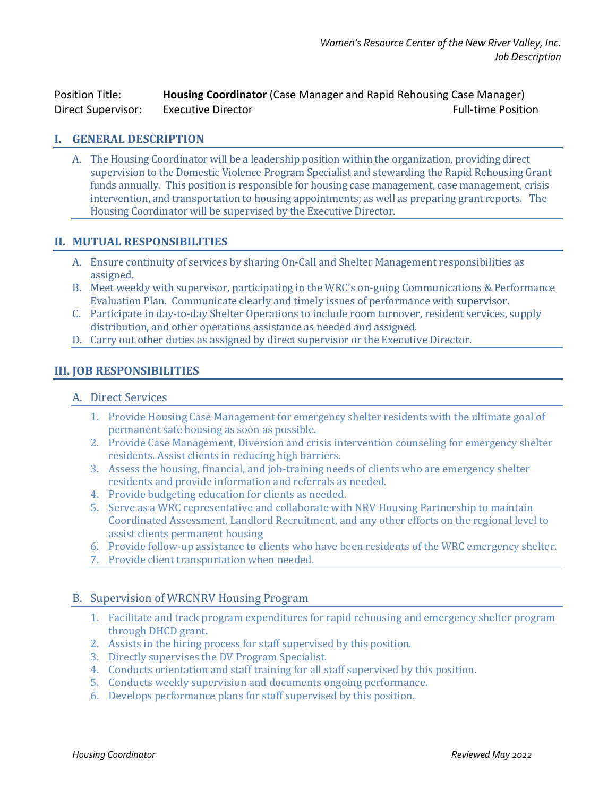Position Title: **Housing Coordinator** (Case Manager and Rapid Rehousing Case Manager) Direct Supervisor: Executive Director Full-time Position

## **I. GENERAL DESCRIPTION**

A. The Housing Coordinator will be a leadership position within the organization, providing direct supervision to the Domestic Violence Program Specialist and stewarding the Rapid Rehousing Grant funds annually. This position is responsible for housing case management, case management, crisis intervention, and transportation to housing appointments; as well as preparing grant reports. The Housing Coordinator will be supervised by the Executive Director.

## **II. MUTUAL RESPONSIBILITIES**

- A. Ensure continuity of services by sharing On-Call and Shelter Management responsibilities as assigned.
- B. Meet weekly with supervisor, participating in the WRC's on-going Communications & Performance Evaluation Plan. Communicate clearly and timely issues of performance with supervisor.
- C. Participate in day-to-day Shelter Operations to include room turnover, resident services, supply distribution, and other operations assistance as needed and assigned.
- D. Carry out other duties as assigned by direct supervisor or the Executive Director.

## **III. JOB RESPONSIBILITIES**

#### A. Direct Services

- 1. Provide Housing Case Management for emergency shelter residents with the ultimate goal of permanent safe housing as soon as possible.
- 2. Provide Case Management, Diversion and crisis intervention counseling for emergency shelter residents. Assist clients in reducing high barriers.
- 3. Assess the housing, financial, and job-training needs of clients who are emergency shelter residents and provide information and referrals as needed.
- 4. Provide budgeting education for clients as needed.
- 5. Serve as a WRC representative and collaborate with NRV Housing Partnership to maintain Coordinated Assessment, Landlord Recruitment, and any other efforts on the regional level to assist clients permanent housing
- 6. Provide follow-up assistance to clients who have been residents of the WRC emergency shelter.
- 7. Provide client transportation when needed.

#### B. Supervision of WRCNRV Housing Program

- 1. Facilitate and track program expenditures for rapid rehousing and emergency shelter program through DHCD grant.
- 2. Assists in the hiring process for staff supervised by this position.
- 3. Directly supervises the DV Program Specialist.
- 4. Conducts orientation and staff training for all staff supervised by this position.
- 5. Conducts weekly supervision and documents ongoing performance.
- 6. Develops performance plans for staff supervised by this position.